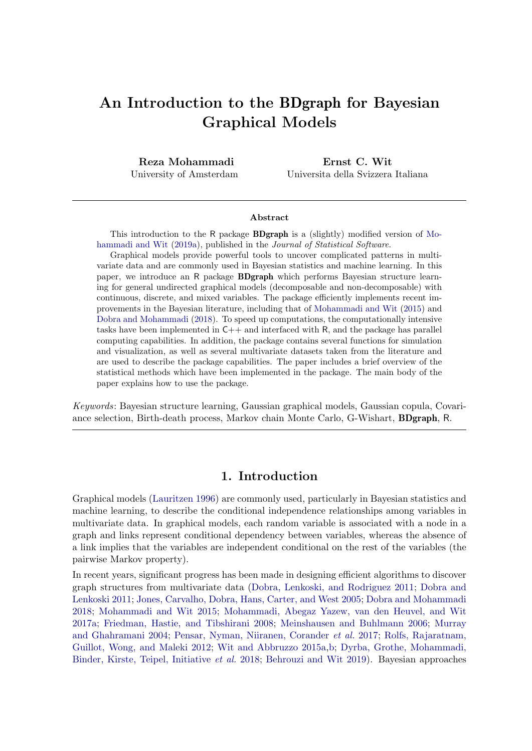# An Introduction to the BDgraph for Bayesian Graphical Models

Reza Mohammadi University of Amsterdam

Ernst C. Wit Universita della Svizzera Italiana

#### Abstract

This introduction to the R package BDgraph is a (slightly) modified version of Mohammadi and Wit (2019a), published in the *Journal of Statistical Software*.

Graphical models provide powerful tools to uncover complicated patterns in multivariate data and are commonly used in Bayesian statistics and machine learning. In this paper, we introduce an R package BDgraph which performs Bayesian structure learning for general undirected graphical models (decomposable and non-decomposable) with continuous, discrete, and mixed variables. The package efficiently implements recent improvements in the Bayesian literature, including that of Mohammadi and Wit (2015) and Dobra and Mohammadi (2018). To speed up computations, the computationally intensive tasks have been implemented in  $C_{++}$  and interfaced with R, and the package has parallel computing capabilities. In addition, the package contains several functions for simulation and visualization, as well as several multivariate datasets taken from the literature and are used to describe the package capabilities. The paper includes a brief overview of the statistical methods which have been implemented in the package. The main body of the paper explains how to use the package.

Keywords: Bayesian structure learning, Gaussian graphical models, Gaussian copula, Covariance selection, Birth-death process, Markov chain Monte Carlo, G-Wishart, BDgraph, R.

### 1. Introduction

Graphical models (Lauritzen 1996) are commonly used, particularly in Bayesian statistics and machine learning, to describe the conditional independence relationships among variables in multivariate data. In graphical models, each random variable is associated with a node in a graph and links represent conditional dependency between variables, whereas the absence of a link implies that the variables are independent conditional on the rest of the variables (the pairwise Markov property).

In recent years, significant progress has been made in designing efficient algorithms to discover graph structures from multivariate data (Dobra, Lenkoski, and Rodriguez 2011; Dobra and Lenkoski 2011; Jones, Carvalho, Dobra, Hans, Carter, and West 2005; Dobra and Mohammadi 2018; Mohammadi and Wit 2015; Mohammadi, Abegaz Yazew, van den Heuvel, and Wit 2017a; Friedman, Hastie, and Tibshirani 2008; Meinshausen and Buhlmann 2006; Murray and Ghahramani 2004; Pensar, Nyman, Niiranen, Corander et al. 2017; Rolfs, Rajaratnam, Guillot, Wong, and Maleki 2012; Wit and Abbruzzo 2015a,b; Dyrba, Grothe, Mohammadi, Binder, Kirste, Teipel, Initiative et al. 2018; Behrouzi and Wit 2019). Bayesian approaches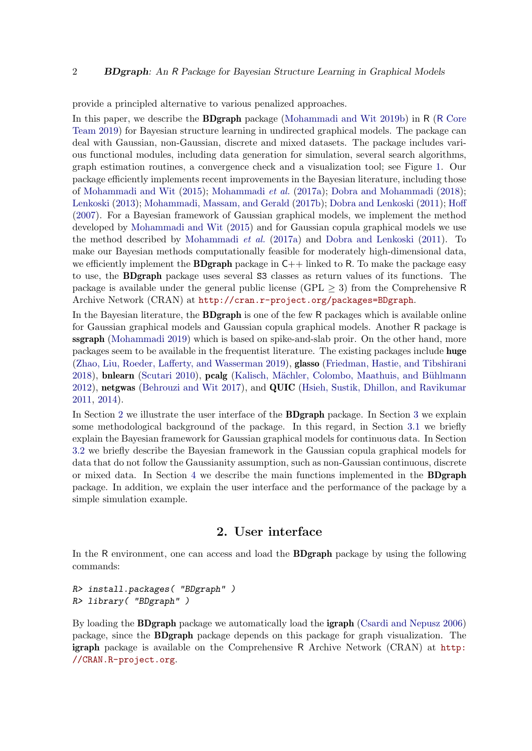provide a principled alternative to various penalized approaches.

In this paper, we describe the BDgraph package (Mohammadi and Wit 2019b) in R (R Core Team 2019) for Bayesian structure learning in undirected graphical models. The package can deal with Gaussian, non-Gaussian, discrete and mixed datasets. The package includes various functional modules, including data generation for simulation, several search algorithms, graph estimation routines, a convergence check and a visualization tool; see Figure 1. Our package efficiently implements recent improvements in the Bayesian literature, including those of Mohammadi and Wit (2015); Mohammadi et al. (2017a); Dobra and Mohammadi (2018); Lenkoski (2013); Mohammadi, Massam, and Gerald (2017b); Dobra and Lenkoski (2011); Hoff (2007). For a Bayesian framework of Gaussian graphical models, we implement the method developed by Mohammadi and Wit (2015) and for Gaussian copula graphical models we use the method described by Mohammadi et al. (2017a) and Dobra and Lenkoski (2011). To make our Bayesian methods computationally feasible for moderately high-dimensional data, we efficiently implement the **BDgraph** package in  $C++$  linked to R. To make the package easy to use, the BDgraph package uses several S3 classes as return values of its functions. The package is available under the general public license (GPL  $\geq$  3) from the Comprehensive R Archive Network (CRAN) at http://cran.r-project.org/packages=BDgraph.

In the Bayesian literature, the **BDgraph** is one of the few R packages which is available online for Gaussian graphical models and Gaussian copula graphical models. Another R package is ssgraph (Mohammadi 2019) which is based on spike-and-slab proir. On the other hand, more packages seem to be available in the frequentist literature. The existing packages include huge (Zhao, Liu, Roeder, Lafferty, and Wasserman 2019), glasso (Friedman, Hastie, and Tibshirani 2018), bnlearn (Scutari 2010), pcalg (Kalisch, Mächler, Colombo, Maathuis, and Bühlmann 2012), netgwas (Behrouzi and Wit 2017), and QUIC (Hsieh, Sustik, Dhillon, and Ravikumar 2011, 2014).

In Section 2 we illustrate the user interface of the BDgraph package. In Section 3 we explain some methodological background of the package. In this regard, in Section 3.1 we briefly explain the Bayesian framework for Gaussian graphical models for continuous data. In Section 3.2 we briefly describe the Bayesian framework in the Gaussian copula graphical models for data that do not follow the Gaussianity assumption, such as non-Gaussian continuous, discrete or mixed data. In Section 4 we describe the main functions implemented in the BDgraph package. In addition, we explain the user interface and the performance of the package by a simple simulation example.

# 2. User interface

In the R environment, one can access and load the BDgraph package by using the following commands:

R> install.packages( "BDgraph" ) R> library( "BDgraph" )

By loading the **BDgraph** package we automatically load the **igraph** (Csardi and Nepusz 2006) package, since the BDgraph package depends on this package for graph visualization. The igraph package is available on the Comprehensive R Archive Network (CRAN) at http: //CRAN.R-project.org.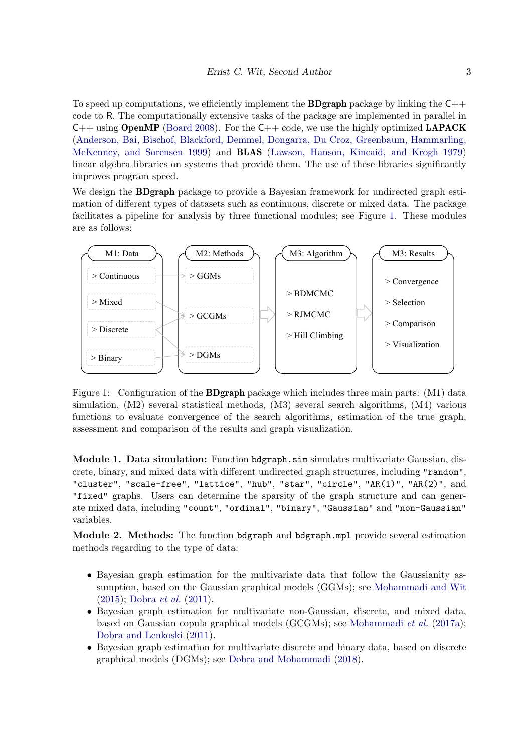To speed up computations, we efficiently implement the **BDgraph** package by linking the  $C_{++}$ code to R. The computationally extensive tasks of the package are implemented in parallel in  $C++$  using **OpenMP** (Board 2008). For the  $C++$  code, we use the highly optimized **LAPACK** (Anderson, Bai, Bischof, Blackford, Demmel, Dongarra, Du Croz, Greenbaum, Hammarling, McKenney, and Sorensen 1999) and BLAS (Lawson, Hanson, Kincaid, and Krogh 1979) linear algebra libraries on systems that provide them. The use of these libraries significantly improves program speed.

We design the **BDgraph** package to provide a Bayesian framework for undirected graph estimation of different types of datasets such as continuous, discrete or mixed data. The package facilitates a pipeline for analysis by three functional modules; see Figure 1. These modules are as follows:



bdgraph.<br>Littler (MO) functions to evaluate convergence of the search algorithms, estimation of the true graph, Figure 1: Configuration of the **BDgraph** package which includes three main parts: (M1) data  $s$ imulation,  $(M2)$  several statistical methods,  $(M3)$  several search algorithms,  $(M4)$  various assessment and comparison of the results and graph visualization.

Module 1. Data simulation: Function bdgraph.sim simulates multivariate Gaussian, discrete, binary, and mixed data with different undirected graph structures, including "random", "cluster", "scale-free", "lattice", "hub", "star", "circle", "AR(1)", "AR(2)", and "fixed" graphs. Users can determine the sparsity of the graph structure and can generate mixed data, including "count", "ordinal", "binary", "Gaussian" and "non-Gaussian" variables.

Module 2. Methods: The function bdgraph and bdgraph.mpl provide several estimation methods regarding to the type of data:

- Bayesian graph estimation for the multivariate data that follow the Gaussianity assumption, based on the Gaussian graphical models (GGMs); see Mohammadi and Wit (2015); Dobra et al. (2011).
- Bayesian graph estimation for multivariate non-Gaussian, discrete, and mixed data, based on Gaussian copula graphical models (GCGMs); see Mohammadi et al. (2017a); Dobra and Lenkoski (2011).
- Bayesian graph estimation for multivariate discrete and binary data, based on discrete graphical models (DGMs); see Dobra and Mohammadi (2018).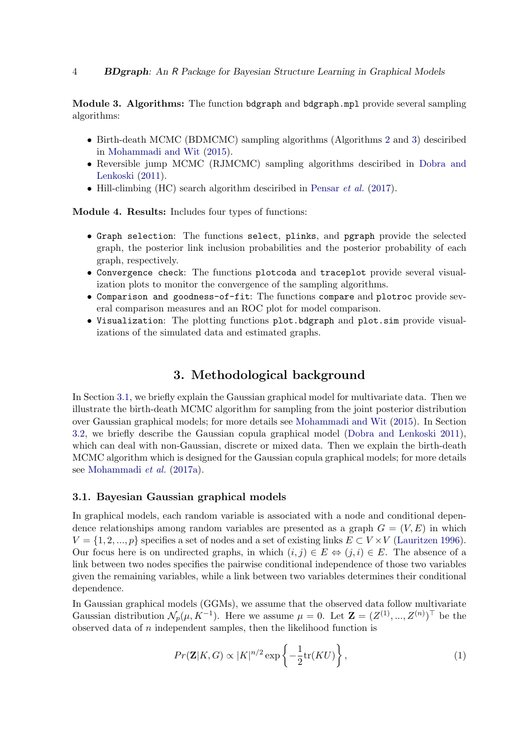Module 3. Algorithms: The function bdgraph and bdgraph.mpl provide several sampling algorithms:

- Birth-death MCMC (BDMCMC) sampling algorithms (Algorithms 2 and 3) desciribed in Mohammadi and Wit (2015).
- Reversible jump MCMC (RJMCMC) sampling algorithms desciribed in Dobra and Lenkoski (2011).
- Hill-climbing (HC) search algorithm desciribed in Pensar et al. (2017).

Module 4. Results: Includes four types of functions:

- Graph selection: The functions select, plinks, and pgraph provide the selected graph, the posterior link inclusion probabilities and the posterior probability of each graph, respectively.
- Convergence check: The functions plotcoda and traceplot provide several visualization plots to monitor the convergence of the sampling algorithms.
- Comparison and goodness-of-fit: The functions compare and plotroc provide several comparison measures and an ROC plot for model comparison.
- Visualization: The plotting functions plot.bdgraph and plot.sim provide visualizations of the simulated data and estimated graphs.

## 3. Methodological background

In Section 3.1, we briefly explain the Gaussian graphical model for multivariate data. Then we illustrate the birth-death MCMC algorithm for sampling from the joint posterior distribution over Gaussian graphical models; for more details see Mohammadi and Wit (2015). In Section 3.2, we briefly describe the Gaussian copula graphical model (Dobra and Lenkoski 2011), which can deal with non-Gaussian, discrete or mixed data. Then we explain the birth-death MCMC algorithm which is designed for the Gaussian copula graphical models; for more details see Mohammadi et al. (2017a).

### 3.1. Bayesian Gaussian graphical models

In graphical models, each random variable is associated with a node and conditional dependence relationships among random variables are presented as a graph  $G = (V, E)$  in which  $V = \{1, 2, ..., p\}$  specifies a set of nodes and a set of existing links  $E \subset V \times V$  (Lauritzen 1996). Our focus here is on undirected graphs, in which  $(i, j) \in E \Leftrightarrow (i, i) \in E$ . The absence of a link between two nodes specifies the pairwise conditional independence of those two variables given the remaining variables, while a link between two variables determines their conditional dependence.

In Gaussian graphical models (GGMs), we assume that the observed data follow multivariate Gaussian distribution  $\mathcal{N}_p(\mu, K^{-1})$ . Here we assume  $\mu = 0$ . Let  $\mathbf{Z} = (Z^{(1)}, ..., Z^{(n)})^{\top}$  be the observed data of  $n$  independent samples, then the likelihood function is

$$
Pr(\mathbf{Z}|K, G) \propto |K|^{n/2} \exp\left\{-\frac{1}{2}\text{tr}(KU)\right\},\tag{1}
$$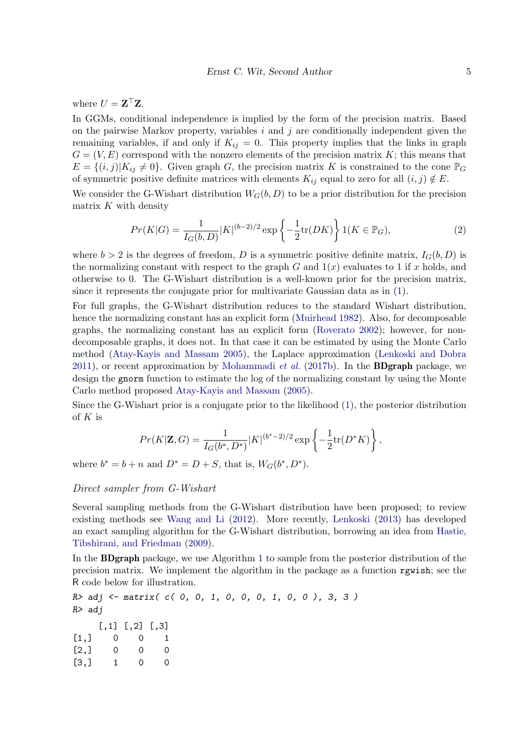where  $U = \mathbf{Z}^\top \mathbf{Z}$ .

In GGMs, conditional independence is implied by the form of the precision matrix. Based on the pairwise Markov property, variables  $i$  and  $j$  are conditionally independent given the remaining variables, if and only if  $K_{ij} = 0$ . This property implies that the links in graph  $G = (V, E)$  correspond with the nonzero elements of the precision matrix K; this means that  $E = \{(i, j)|K_{ij} \neq 0\}$ . Given graph G, the precision matrix K is constrained to the cone  $\mathbb{P}_G$ of symmetric positive definite matrices with elements  $K_{ij}$  equal to zero for all  $(i, j) \notin E$ .

We consider the G-Wishart distribution  $W_G(b, D)$  to be a prior distribution for the precision matrix  $K$  with density

$$
Pr(K|G) = \frac{1}{I_G(b,D)} |K|^{(b-2)/2} \exp\left\{-\frac{1}{2}\text{tr}(DK)\right\} 1(K \in \mathbb{P}_G),\tag{2}
$$

where  $b > 2$  is the degrees of freedom, D is a symmetric positive definite matrix,  $I_G(b, D)$  is the normalizing constant with respect to the graph G and  $1(x)$  evaluates to 1 if x holds, and otherwise to 0. The G-Wishart distribution is a well-known prior for the precision matrix, since it represents the conjugate prior for multivariate Gaussian data as in (1).

For full graphs, the G-Wishart distribution reduces to the standard Wishart distribution, hence the normalizing constant has an explicit form (Muirhead 1982). Also, for decomposable graphs, the normalizing constant has an explicit form (Roverato 2002); however, for nondecomposable graphs, it does not. In that case it can be estimated by using the Monte Carlo method (Atay-Kayis and Massam 2005), the Laplace approximation (Lenkoski and Dobra 2011), or recent approximation by Mohammadi *et al.* (2017b). In the **BDgraph** package, we design the gnorm function to estimate the log of the normalizing constant by using the Monte Carlo method proposed Atay-Kayis and Massam (2005).

Since the G-Wishart prior is a conjugate prior to the likelihood (1), the posterior distribution of  $K$  is

$$
Pr(K|\mathbf{Z},G) = \frac{1}{I_G(b^*,D^*)} |K|^{(b^*-2)/2} \exp\left\{-\frac{1}{2}\text{tr}(D^*K)\right\},
$$

where  $b^* = b + n$  and  $D^* = D + S$ , that is,  $W_G(b^*, D^*)$ .

### Direct sampler from G-Wishart

Several sampling methods from the G-Wishart distribution have been proposed; to review existing methods see Wang and Li (2012). More recently, Lenkoski (2013) has developed an exact sampling algorithm for the G-Wishart distribution, borrowing an idea from Hastie, Tibshirani, and Friedman (2009).

In the BDgraph package, we use Algorithm 1 to sample from the posterior distribution of the precision matrix. We implement the algorithm in the package as a function rgwish; see the R code below for illustration.

R> adj <- matrix( c( 0, 0, 1, 0, 0, 0, 1, 0, 0 ), 3, 3 ) R> adj  $[,1]$   $[,2]$   $[,3]$  $[1,] 0 0 1$  $[2,] 0 0 0$  $[3,]$  1 0 0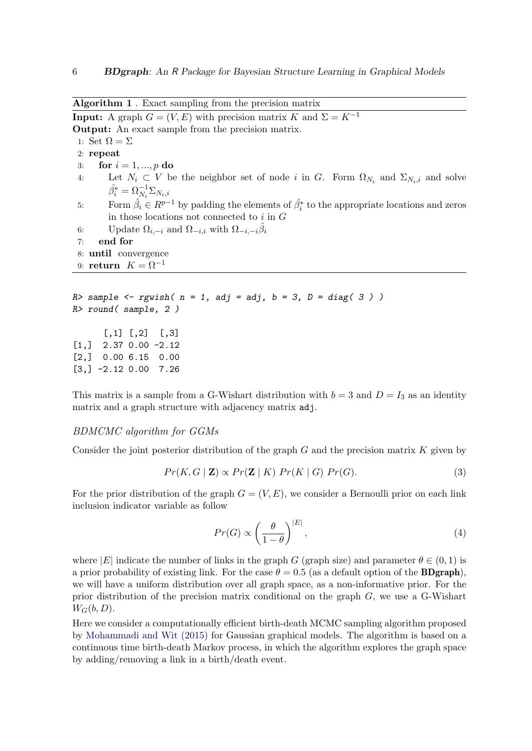Algorithm 1 . Exact sampling from the precision matrix **Input:** A graph  $G = (V, E)$  with precision matrix K and  $\Sigma = K^{-1}$ Output: An exact sample from the precision matrix. 1: Set  $\Omega = \Sigma$ 2: repeat 3: for  $i = 1, ..., p$  do 4: Let  $N_i \subset V$  be the neighbor set of node i in G. Form  $\Omega_{N_i}$  and  $\Sigma_{N_i,i}$  and solve  $\hat{\beta_i^*} = \Omega_{N_i}^{-1}\Sigma_{N_i,i}$ 5: Form  $\hat{\beta}_i \in R^{p-1}$  by padding the elements of  $\hat{\beta}_i^*$  to the appropriate locations and zeros in those locations not connected to  $i$  in  $G$ 6: Update  $\Omega_{i,-i}$  and  $\Omega_{-i,i}$  with  $\Omega_{-i,-i}\hat{\beta}_i$ 7: end for 8: until convergence 9: return  $K = \Omega^{-1}$  $R$ > sample <- rgwish(  $n = 1$ , adj = adj,  $b = 3$ ,  $D = diag(3)$ ) R> round( sample, 2 )  $[,1]$   $[,2]$   $[,3]$ [1,] 2.37 0.00 -2.12 [2,] 0.00 6.15 0.00 [3,] -2.12 0.00 7.26

This matrix is a sample from a G-Wishart distribution with  $b = 3$  and  $D = I_3$  as an identity matrix and a graph structure with adjacency matrix adj.

### BDMCMC algorithm for GGMs

Consider the joint posterior distribution of the graph  $G$  and the precision matrix  $K$  given by

$$
Pr(K, G \mid \mathbf{Z}) \propto Pr(\mathbf{Z} \mid K) Pr(K \mid G) Pr(G).
$$
\n(3)

For the prior distribution of the graph  $G = (V, E)$ , we consider a Bernoulli prior on each link inclusion indicator variable as follow

$$
Pr(G) \propto \left(\frac{\theta}{1-\theta}\right)^{|E|},\tag{4}
$$

where |E| indicate the number of links in the graph G (graph size) and parameter  $\theta \in (0,1)$  is a prior probability of existing link. For the case  $\theta = 0.5$  (as a default option of the **BDgraph**), we will have a uniform distribution over all graph space, as a non-informative prior. For the prior distribution of the precision matrix conditional on the graph  $G$ , we use a G-Wishart  $W_G(b, D)$ .

Here we consider a computationally efficient birth-death MCMC sampling algorithm proposed by Mohammadi and Wit (2015) for Gaussian graphical models. The algorithm is based on a continuous time birth-death Markov process, in which the algorithm explores the graph space by adding/removing a link in a birth/death event.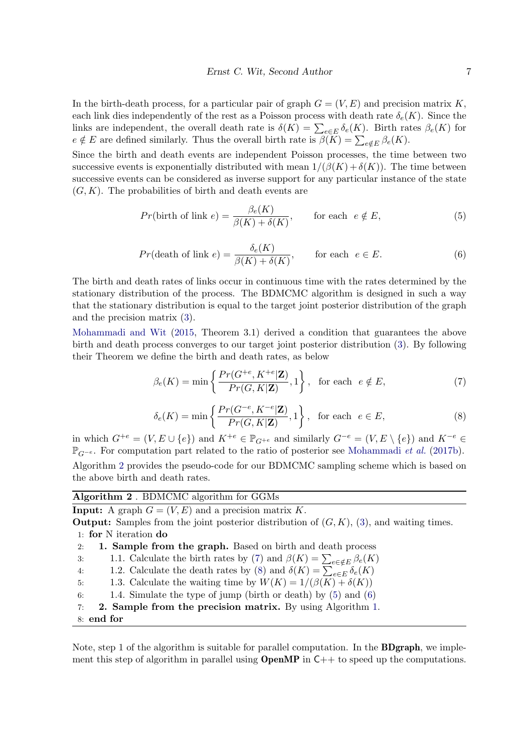In the birth-death process, for a particular pair of graph  $G = (V, E)$  and precision matrix K, each link dies independently of the rest as a Poisson process with death rate  $\delta_e(K)$ . Since the links are independent, the overall death rate is  $\delta(K) = \sum_{e \in E} \delta_e(K)$ . Birth rates  $\beta_e(K)$  for  $e \notin E$  are defined similarly. Thus the overall birth rate is  $\beta(\overline{K}) = \sum_{e \notin E} \beta_e(K)$ .

Since the birth and death events are independent Poisson processes, the time between two successive events is exponentially distributed with mean  $1/(\beta(K) + \delta(K))$ . The time between successive events can be considered as inverse support for any particular instance of the state  $(G, K)$ . The probabilities of birth and death events are

$$
Pr(\text{birth of link } e) = \frac{\beta_e(K)}{\beta(K) + \delta(K)}, \qquad \text{for each } e \notin E,
$$
\n<sup>(5)</sup>

$$
Pr(\text{death of link } e) = \frac{\delta_e(K)}{\beta(K) + \delta(K)}, \qquad \text{for each } e \in E. \tag{6}
$$

The birth and death rates of links occur in continuous time with the rates determined by the stationary distribution of the process. The BDMCMC algorithm is designed in such a way that the stationary distribution is equal to the target joint posterior distribution of the graph and the precision matrix (3).

Mohammadi and Wit (2015, Theorem 3.1) derived a condition that guarantees the above birth and death process converges to our target joint posterior distribution (3). By following their Theorem we define the birth and death rates, as below

$$
\beta_e(K) = \min\left\{\frac{Pr(G^{+e}, K^{+e}|\mathbf{Z})}{Pr(G, K|\mathbf{Z})}, 1\right\}, \text{ for each } e \notin E,
$$
\n<sup>(7)</sup>

$$
\delta_e(K) = \min\left\{\frac{Pr(G^{-e}, K^{-e}|\mathbf{Z})}{Pr(G, K|\mathbf{Z})}, 1\right\}, \text{ for each } e \in E,
$$
\n(8)

in which  $G^{+e} = (V, E \cup \{e\})$  and  $K^{+e} \in \mathbb{P}_{G^{+e}}$  and similarly  $G^{-e} = (V, E \setminus \{e\})$  and  $K^{-e} \in$  $\mathbb{P}_{G^{-e}}$ . For computation part related to the ratio of posterior see Mohammadi *et al.* (2017b). Algorithm 2 provides the pseudo-code for our BDMCMC sampling scheme which is based on the above birth and death rates.

Algorithm 2 . BDMCMC algorithm for GGMs

**Input:** A graph  $G = (V, E)$  and a precision matrix K. **Output:** Samples from the joint posterior distribution of  $(G, K)$ ,  $(3)$ , and waiting times. 1: for N iteration do

- 2: 1. Sample from the graph. Based on birth and death process
	- 3: 1.1. Calculate the birth rates by (7) and  $\beta(K) = \sum_{e \in \mathcal{F}} \beta_e(K)$
	- 4: 1.2. Calculate the death rates by (8) and  $\delta(K) = \sum_{e \in E} \delta_e(K)$
	- 5: 1.3. Calculate the waiting time by  $W(K) = 1/(\beta(K) + \delta(K))$
	- 6: 1.4. Simulate the type of jump (birth or death) by  $(5)$  and  $(6)$
- 7: 2. Sample from the precision matrix. By using Algorithm 1.
- 8: end for

Note, step 1 of the algorithm is suitable for parallel computation. In the **BDgraph**, we implement this step of algorithm in parallel using **OpenMP** in  $C++$  to speed up the computations.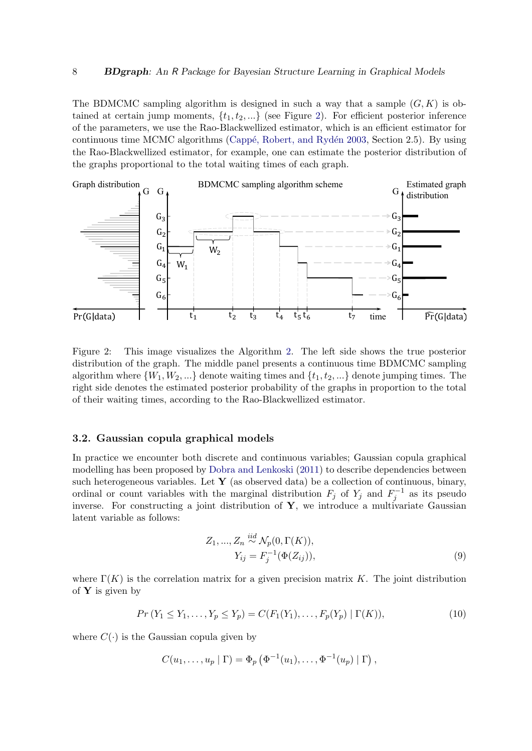The BDMCMC sampling algorithm is designed in such a way that a sample  $(G, K)$  is obtained at certain jump moments,  $\{t_1, t_2, ...\}$  (see Figure 2). For efficient posterior inference of the parameters, we use the Rao-Blackwellized estimator, which is an efficient estimator for continuous time MCMC algorithms (Cappé, Robert, and Rydén 2003, Section 2.5). By using the Rao-Blackwellized estimator, for example, one can estimate the posterior distribution of the graphs proportional to the total waiting times of each graph.



Figure 2: This image visualizes the Algorithm 2. The left side shows the true posterior distribution of the graph. The middle panel presents a continuous time BDMCMC sampling algorithm where  $\{W_1, W_2, ...\}$  denote waiting times and  $\{t_1, t_2, ...\}$  denote jumping times. The right side denotes the estimated posterior probability of the graphs in proportion to the total of their waiting times, according to the Rao-Blackwellized estimator.

### 3.2. Gaussian copula graphical models

In practice we encounter both discrete and continuous variables; Gaussian copula graphical modelling has been proposed by Dobra and Lenkoski (2011) to describe dependencies between such heterogeneous variables. Let  $Y$  (as observed data) be a collection of continuous, binary, ordinal or count variables with the marginal distribution  $F_j$  of  $Y_j$  and  $F_j^{-1}$  as its pseudo inverse. For constructing a joint distribution of  $Y$ , we introduce a multivariate Gaussian latent variable as follows:

$$
Z_1, ..., Z_n \stackrel{iid}{\sim} \mathcal{N}_p(0, \Gamma(K)), Y_{ij} = F_j^{-1}(\Phi(Z_{ij})),
$$
\n(9)

where  $\Gamma(K)$  is the correlation matrix for a given precision matrix K. The joint distribution of  $Y$  is given by

$$
Pr(Y_1 \le Y_1, \dots, Y_p \le Y_p) = C(F_1(Y_1), \dots, F_p(Y_p) | \Gamma(K)),
$$
\n(10)

where  $C(\cdot)$  is the Gaussian copula given by

$$
C(u_1,..., u_p | \Gamma) = \Phi_p (\Phi^{-1}(u_1), ..., \Phi^{-1}(u_p) | \Gamma),
$$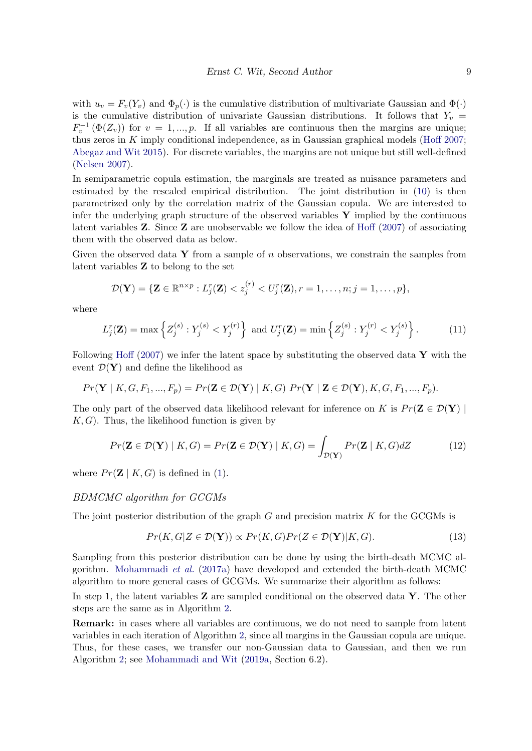with  $u_v = F_v(Y_v)$  and  $\Phi_v(\cdot)$  is the cumulative distribution of multivariate Gaussian and  $\Phi(\cdot)$ is the cumulative distribution of univariate Gaussian distributions. It follows that  $Y_v =$  $F_v^{-1}(\Phi(Z_v))$  for  $v = 1, ..., p$ . If all variables are continuous then the margins are unique; thus zeros in K imply conditional independence, as in Gaussian graphical models (Hoff  $2007$ ; Abegaz and Wit 2015). For discrete variables, the margins are not unique but still well-defined (Nelsen 2007).

In semiparametric copula estimation, the marginals are treated as nuisance parameters and estimated by the rescaled empirical distribution. The joint distribution in (10) is then parametrized only by the correlation matrix of the Gaussian copula. We are interested to infer the underlying graph structure of the observed variables  $\bf{Y}$  implied by the continuous latent variables  $Z$ . Since  $Z$  are unobservable we follow the idea of Hoff (2007) of associating them with the observed data as below.

Given the observed data Y from a sample of  $n$  observations, we constrain the samples from latent variables Z to belong to the set

$$
\mathcal{D}(\mathbf{Y}) = \{\mathbf{Z} \in \mathbb{R}^{n \times p} : L_j^r(\mathbf{Z}) < z_j^{(r)} < U_j^r(\mathbf{Z}), r = 1, \ldots, n; j = 1, \ldots, p\},\
$$

where

$$
L_j^r(\mathbf{Z}) = \max \left\{ Z_j^{(s)} : Y_j^{(s)} < Y_j^{(r)} \right\} \text{ and } U_j^r(\mathbf{Z}) = \min \left\{ Z_j^{(s)} : Y_j^{(r)} < Y_j^{(s)} \right\}. \tag{11}
$$

Following Hoff (2007) we infer the latent space by substituting the observed data  $\mathbf{Y}$  with the event  $\mathcal{D}(\mathbf{Y})$  and define the likelihood as

$$
Pr(\mathbf{Y} \mid K, G, F_1, ..., F_p) = Pr(\mathbf{Z} \in \mathcal{D}(\mathbf{Y}) \mid K, G) Pr(\mathbf{Y} \mid \mathbf{Z} \in \mathcal{D}(\mathbf{Y}), K, G, F_1, ..., F_p).
$$

The only part of the observed data likelihood relevant for inference on K is  $Pr(\mathbf{Z} \in \mathcal{D}(\mathbf{Y})$  $K, G$ . Thus, the likelihood function is given by

$$
Pr(\mathbf{Z} \in \mathcal{D}(\mathbf{Y}) \mid K, G) = Pr(\mathbf{Z} \in \mathcal{D}(\mathbf{Y}) \mid K, G) = \int_{\mathcal{D}(\mathbf{Y})} Pr(\mathbf{Z} \mid K, G) dZ \tag{12}
$$

where  $Pr(\mathbf{Z} | K, G)$  is defined in (1).

### BDMCMC algorithm for GCGMs

The joint posterior distribution of the graph  $G$  and precision matrix  $K$  for the GCGMs is

$$
Pr(K, G|Z \in \mathcal{D}(\mathbf{Y})) \propto Pr(K, G)Pr(Z \in \mathcal{D}(\mathbf{Y})|K, G). \tag{13}
$$

Sampling from this posterior distribution can be done by using the birth-death MCMC algorithm. Mohammadi et al. (2017a) have developed and extended the birth-death MCMC algorithm to more general cases of GCGMs. We summarize their algorithm as follows:

In step 1, the latent variables  $\bf{Z}$  are sampled conditional on the observed data  $\bf{Y}$ . The other steps are the same as in Algorithm 2.

Remark: in cases where all variables are continuous, we do not need to sample from latent variables in each iteration of Algorithm 2, since all margins in the Gaussian copula are unique. Thus, for these cases, we transfer our non-Gaussian data to Gaussian, and then we run Algorithm 2; see Mohammadi and Wit (2019a, Section 6.2).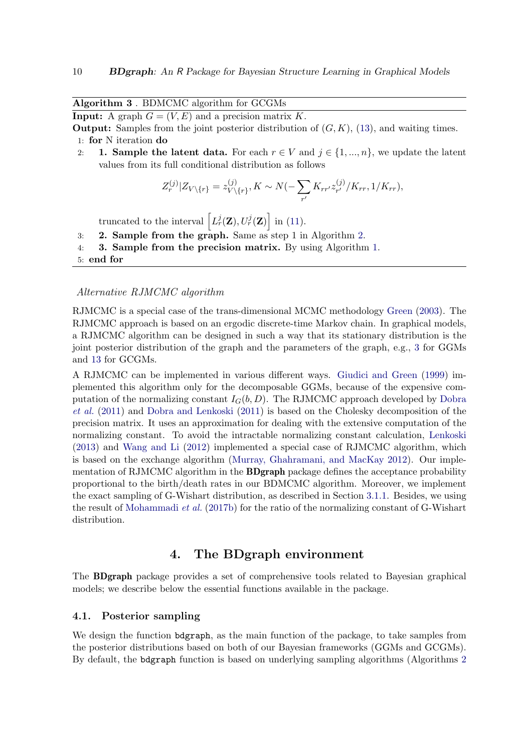Algorithm 3 . BDMCMC algorithm for GCGMs

**Input:** A graph  $G = (V, E)$  and a precision matrix K.

**Output:** Samples from the joint posterior distribution of  $(G, K)$ , (13), and waiting times. 1: for N iteration do

2: 1. Sample the latent data. For each  $r \in V$  and  $j \in \{1, ..., n\}$ , we update the latent values from its full conditional distribution as follows

$$
Z_r^{(j)}|Z_{V\setminus\{r\}} = z_{V\setminus\{r\}}^{(j)}, K \sim N(-\sum_{r'} K_{rr'} z_{r'}^{(j)}/K_{rr}, 1/K_{rr}),
$$

truncated to the interval  $\left[L_r^j(\mathbf{Z}), U_r^j(\mathbf{Z})\right]$  in (11).

- 3: 2. Sample from the graph. Same as step 1 in Algorithm 2.
- 4: 3. Sample from the precision matrix. By using Algorithm 1.
- 5: end for

### Alternative RJMCMC algorithm

RJMCMC is a special case of the trans-dimensional MCMC methodology Green (2003). The RJMCMC approach is based on an ergodic discrete-time Markov chain. In graphical models, a RJMCMC algorithm can be designed in such a way that its stationary distribution is the joint posterior distribution of the graph and the parameters of the graph, e.g., 3 for GGMs and 13 for GCGMs.

A RJMCMC can be implemented in various different ways. Giudici and Green (1999) implemented this algorithm only for the decomposable GGMs, because of the expensive computation of the normalizing constant  $I_G(b, D)$ . The RJMCMC approach developed by Dobra et al. (2011) and Dobra and Lenkoski (2011) is based on the Cholesky decomposition of the precision matrix. It uses an approximation for dealing with the extensive computation of the normalizing constant. To avoid the intractable normalizing constant calculation, Lenkoski (2013) and Wang and Li (2012) implemented a special case of RJMCMC algorithm, which is based on the exchange algorithm (Murray, Ghahramani, and MacKay 2012). Our implementation of RJMCMC algorithm in the **BDgraph** package defines the acceptance probability proportional to the birth/death rates in our BDMCMC algorithm. Moreover, we implement the exact sampling of G-Wishart distribution, as described in Section 3.1.1. Besides, we using the result of Mohammadi et al. (2017b) for the ratio of the normalizing constant of G-Wishart distribution.

# 4. The BDgraph environment

The BDgraph package provides a set of comprehensive tools related to Bayesian graphical models; we describe below the essential functions available in the package.

### 4.1. Posterior sampling

We design the function bdgraph, as the main function of the package, to take samples from the posterior distributions based on both of our Bayesian frameworks (GGMs and GCGMs). By default, the bdgraph function is based on underlying sampling algorithms (Algorithms 2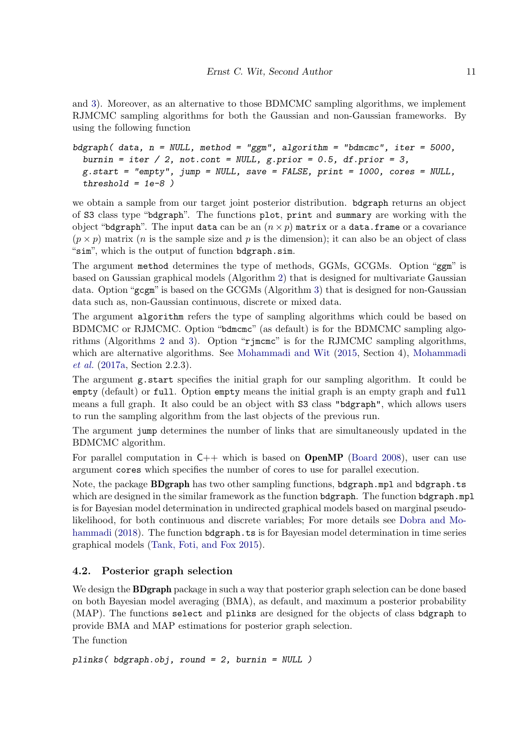and 3). Moreover, as an alternative to those BDMCMC sampling algorithms, we implement RJMCMC sampling algorithms for both the Gaussian and non-Gaussian frameworks. By using the following function

```
bdgraph( data, n = NULL, method = "ggm", algorithm = "bdmcmc", iter = 5000,
 burnin = iter / 2, not.cont = NULL, g.prior = 0.5, df.prior = 3,
 g.start = "empty", jump = NULL, save = FALSE, print = 1000, cores = NULL,
 threshold = 1e-8)
```
we obtain a sample from our target joint posterior distribution. bdgraph returns an object of S3 class type "bdgraph". The functions plot, print and summary are working with the object "bdgraph". The input data can be an  $(n \times p)$  matrix or a data.frame or a covariance  $(p \times p)$  matrix (*n* is the sample size and *p* is the dimension); it can also be an object of class "sim", which is the output of function bdgraph.sim.

The argument method determines the type of methods, GGMs, GCGMs. Option "ggm" is based on Gaussian graphical models (Algorithm 2) that is designed for multivariate Gaussian data. Option "gcgm" is based on the GCGMs (Algorithm 3) that is designed for non-Gaussian data such as, non-Gaussian continuous, discrete or mixed data.

The argument algorithm refers the type of sampling algorithms which could be based on BDMCMC or RJMCMC. Option "bdmcmc" (as default) is for the BDMCMC sampling algorithms (Algorithms 2 and 3). Option "rjmcmc" is for the RJMCMC sampling algorithms, which are alternative algorithms. See Mohammadi and Wit (2015, Section 4), Mohammadi et al. (2017a, Section 2.2.3).

The argument g.start specifies the initial graph for our sampling algorithm. It could be empty (default) or full. Option empty means the initial graph is an empty graph and full means a full graph. It also could be an object with S3 class "bdgraph", which allows users to run the sampling algorithm from the last objects of the previous run.

The argument jump determines the number of links that are simultaneously updated in the BDMCMC algorithm.

For parallel computation in  $C_{++}$  which is based on **OpenMP** (Board 2008), user can use argument cores which specifies the number of cores to use for parallel execution.

Note, the package **BDgraph** has two other sampling functions, bdgraph.mpl and bdgraph.ts which are designed in the similar framework as the function bdgraph. The function bdgraph.mpl is for Bayesian model determination in undirected graphical models based on marginal pseudolikelihood, for both continuous and discrete variables; For more details see Dobra and Mohammadi (2018). The function bdgraph.ts is for Bayesian model determination in time series graphical models (Tank, Foti, and Fox 2015).

## 4.2. Posterior graph selection

We design the **BDgraph** package in such a way that posterior graph selection can be done based on both Bayesian model averaging (BMA), as default, and maximum a posterior probability (MAP). The functions select and plinks are designed for the objects of class bdgraph to provide BMA and MAP estimations for posterior graph selection.

The function

plinks( bdgraph.obj, round = 2, burnin = NULL )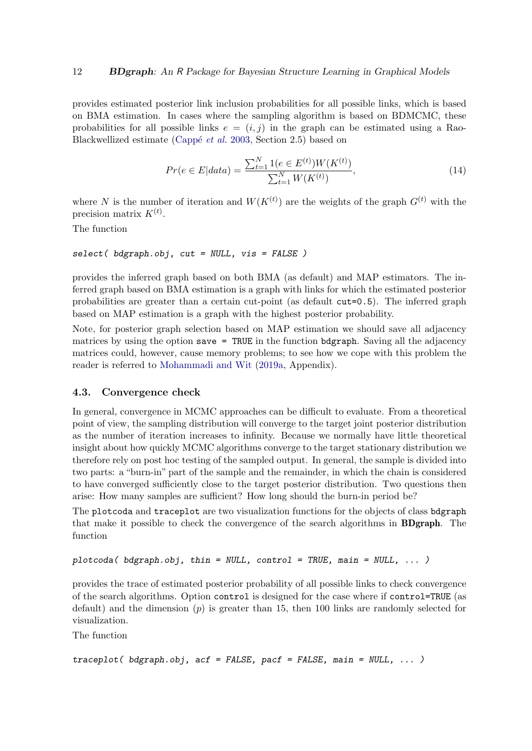provides estimated posterior link inclusion probabilities for all possible links, which is based on BMA estimation. In cases where the sampling algorithm is based on BDMCMC, these probabilities for all possible links  $e = (i, j)$  in the graph can be estimated using a Rao-Blackwellized estimate (Cappé *et al.* 2003, Section 2.5) based on

$$
Pr(e \in E|data) = \frac{\sum_{t=1}^{N} 1(e \in E^{(t)}) W(K^{(t)})}{\sum_{t=1}^{N} W(K^{(t)})},
$$
\n(14)

where N is the number of iteration and  $W(K^{(t)})$  are the weights of the graph  $G^{(t)}$  with the precision matrix  $K^{(t)}$ .

The function

select( bdgraph.obj, cut = NULL, vis = FALSE )

provides the inferred graph based on both BMA (as default) and MAP estimators. The inferred graph based on BMA estimation is a graph with links for which the estimated posterior probabilities are greater than a certain cut-point (as default cut=0.5). The inferred graph based on MAP estimation is a graph with the highest posterior probability.

Note, for posterior graph selection based on MAP estimation we should save all adjacency matrices by using the option save = TRUE in the function bdgraph. Saving all the adjacency matrices could, however, cause memory problems; to see how we cope with this problem the reader is referred to Mohammadi and Wit (2019a, Appendix).

### 4.3. Convergence check

In general, convergence in MCMC approaches can be difficult to evaluate. From a theoretical point of view, the sampling distribution will converge to the target joint posterior distribution as the number of iteration increases to infinity. Because we normally have little theoretical insight about how quickly MCMC algorithms converge to the target stationary distribution we therefore rely on post hoc testing of the sampled output. In general, the sample is divided into two parts: a "burn-in" part of the sample and the remainder, in which the chain is considered to have converged sufficiently close to the target posterior distribution. Two questions then arise: How many samples are sufficient? How long should the burn-in period be?

The plotcoda and traceplot are two visualization functions for the objects of class bdgraph that make it possible to check the convergence of the search algorithms in BDgraph. The function

```
plotcoda( bdgraph.obj, thin = NULL, control = TRUE, main = NULL, \ldots)
```
provides the trace of estimated posterior probability of all possible links to check convergence of the search algorithms. Option control is designed for the case where if control=TRUE (as default) and the dimension  $(p)$  is greater than 15, then 100 links are randomly selected for visualization.

The function

```
traceplot( bdgraph.obj, acf = FALSE, pacf = FALSE, main = NULL, ... )
```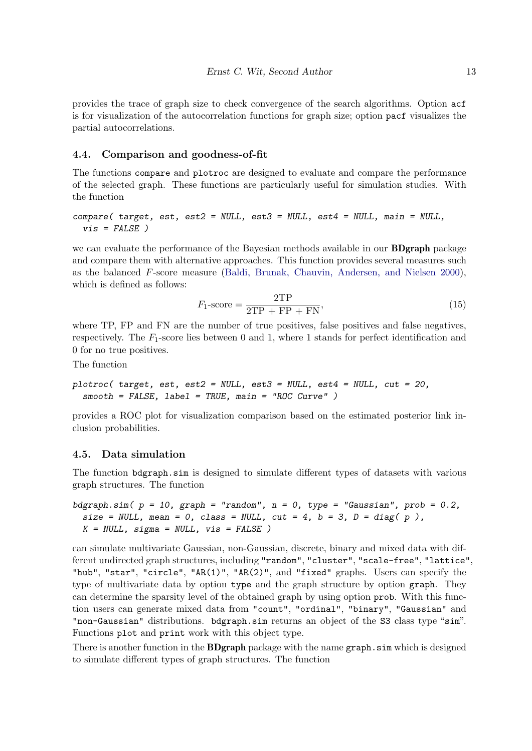provides the trace of graph size to check convergence of the search algorithms. Option acf is for visualization of the autocorrelation functions for graph size; option pacf visualizes the partial autocorrelations.

### 4.4. Comparison and goodness-of-fit

The functions compare and plotroc are designed to evaluate and compare the performance of the selected graph. These functions are particularly useful for simulation studies. With the function

compare( target, est, est2 = NULL, est3 = NULL, est4 = NULL, main = NULL,  $vis$  =  $FALSE$ )

we can evaluate the performance of the Bayesian methods available in our BDgraph package and compare them with alternative approaches. This function provides several measures such as the balanced F-score measure (Baldi, Brunak, Chauvin, Andersen, and Nielsen 2000), which is defined as follows:

$$
F_1\text{-score} = \frac{2\text{TP}}{2\text{TP} + \text{FP} + \text{FN}},\tag{15}
$$

where TP, FP and FN are the number of true positives, false positives and false negatives, respectively. The  $F_1$ -score lies between 0 and 1, where 1 stands for perfect identification and 0 for no true positives.

The function

```
plotroc( target, est, est2 = NULL, est3 = NULL, est4 = NULL, cut = 20,
  smooth = FALSE, label = TRUE, main = "ROC Curve" )
```
provides a ROC plot for visualization comparison based on the estimated posterior link inclusion probabilities.

### 4.5. Data simulation

The function bdgraph.sim is designed to simulate different types of datasets with various graph structures. The function

```
bdgraph.sim(p = 10, graph = "random", n = 0, type = "Gaussian", prob = 0.2,
 size = NULL, mean = 0, class = NULL, cut = 4, b = 3, D = diag( p),
 K = NULL, sigma = NULL, vis = FALSE)
```
can simulate multivariate Gaussian, non-Gaussian, discrete, binary and mixed data with different undirected graph structures, including "random", "cluster", "scale-free", "lattice", "hub", "star", "circle", "AR(1)", "AR(2)", and "fixed" graphs. Users can specify the type of multivariate data by option type and the graph structure by option graph. They can determine the sparsity level of the obtained graph by using option prob. With this function users can generate mixed data from "count", "ordinal", "binary", "Gaussian" and "non-Gaussian" distributions. bdgraph.sim returns an object of the S3 class type "sim". Functions plot and print work with this object type.

There is another function in the **BDgraph** package with the name graph.sim which is designed to simulate different types of graph structures. The function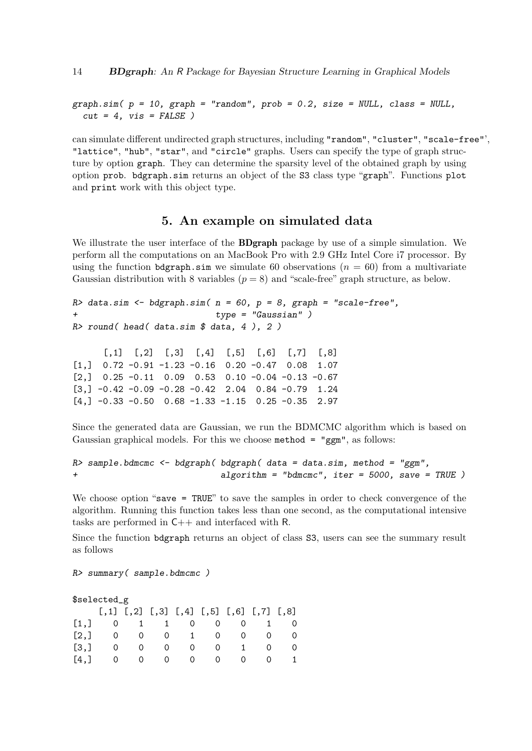$graph.sim( p = 10, graph = "random", prob = 0.2, size = NULL, class = NULL,$  $cut = 4$ ,  $vis = FALSE$ )

can simulate different undirected graph structures, including "random", "cluster", "scale-free"', "lattice", "hub", "star", and "circle" graphs. Users can specify the type of graph structure by option graph. They can determine the sparsity level of the obtained graph by using option prob. bdgraph.sim returns an object of the S3 class type "graph". Functions plot and print work with this object type.

### 5. An example on simulated data

We illustrate the user interface of the **BDgraph** package by use of a simple simulation. We perform all the computations on an MacBook Pro with 2.9 GHz Intel Core i7 processor. By using the function bdgraph.sim we simulate 60 observations  $(n = 60)$  from a multivariate Gaussian distribution with 8 variables  $(p = 8)$  and "scale-free" graph structure, as below.

```
R> data.sim \leq bdgraph.sim( n = 60, p = 8, graph = "scale-free",
                            type = "Gaussian")
R> round( head( data.sim $ data, 4 ), 2 )
```
 $[0,1]$   $[0,2]$   $[0,3]$   $[0,4]$   $[0,5]$   $[0,6]$   $[0,7]$   $[0,8]$  $[1,]$  0.72 -0.91 -1.23 -0.16 0.20 -0.47 0.08 1.07  $\begin{bmatrix} 2, & 0.25 & -0.11 & 0.09 & 0.53 & 0.10 & -0.04 & -0.13 & -0.67 \end{bmatrix}$  $[3,]-0.42$  -0.09 -0.28 -0.42 2.04 0.84 -0.79 1.24  $[4,]$  -0.33 -0.50 0.68 -1.33 -1.15 0.25 -0.35 2.97

Since the generated data are Gaussian, we run the BDMCMC algorithm which is based on Gaussian graphical models. For this we choose method = "ggm", as follows:

```
R> sample.bdmcmc <- bdgraph( bdgraph( data = data.sim, method = "ggm",
+ algorithm = "bdmcmc", iter = 5000, save = TRUE )
```
We choose option "save = TRUE" to save the samples in order to check convergence of the algorithm. Running this function takes less than one second, as the computational intensive tasks are performed in C++ and interfaced with R.

Since the function bdgraph returns an object of class S3, users can see the summary result as follows

R> summary( sample.bdmcmc )

### \$selected\_g

|                      |  | $[,1]$ $[,2]$ $[,3]$ $[,4]$ $[,5]$ $[,6]$ $[,7]$ $[,8]$ |  |  |
|----------------------|--|---------------------------------------------------------|--|--|
| [1,] 0 1 1 0 0 0 1 0 |  |                                                         |  |  |
| [2,] 0 0 0 1 0 0 0 0 |  |                                                         |  |  |
| [3,] 0 0 0 0 0 1 0 0 |  |                                                         |  |  |
| [4,] 0 0 0 0 0 0 0 1 |  |                                                         |  |  |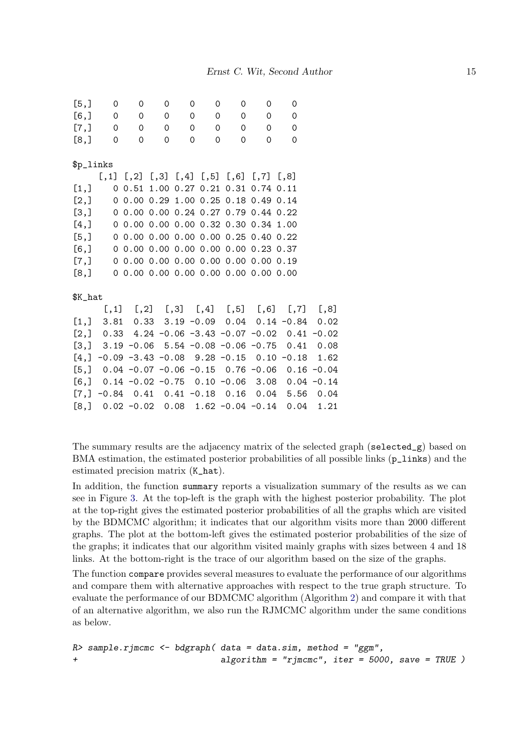| [5,]               | 0            | 0                        | $\mathsf{O}$ | 0                                | $\mathbf 0$    | 0                                                       | 0              | 0                                                               |      |
|--------------------|--------------|--------------------------|--------------|----------------------------------|----------------|---------------------------------------------------------|----------------|-----------------------------------------------------------------|------|
| [6, 3]             | $\mathsf{O}$ | $\overline{\phantom{0}}$ | $\circ$      | 0                                |                | $0 \qquad$<br>$\mathbf{0}$                              | $\overline{0}$ | 0                                                               |      |
|                    | [7,] 0 0     |                          |              | $0 \qquad \qquad$                | $\overline{0}$ | $0 \qquad \qquad$<br>$\mathsf{O}$                       | $\overline{0}$ | $\mathbf 0$                                                     |      |
| [8,]               | 0            | $\mathbf 0$              |              | $0 \qquad \qquad$<br>$\mathbf 0$ | $\Omega$       | $\Omega$                                                | $\Omega$       | $\Omega$                                                        |      |
|                    |              |                          |              |                                  |                |                                                         |                |                                                                 |      |
| \$p_links          |              |                          |              |                                  |                |                                                         |                |                                                                 |      |
|                    |              |                          |              |                                  |                | $[,1]$ $[,2]$ $[,3]$ $[,4]$ $[,5]$ $[,6]$ $[,7]$ $[,8]$ |                |                                                                 |      |
| $\left[1, \right]$ |              |                          |              |                                  |                | 0 0.51 1.00 0.27 0.21 0.31 0.74 0.11                    |                |                                                                 |      |
| [2,]               |              |                          |              |                                  |                | 0 0.00 0.29 1.00 0.25 0.18 0.49 0.14                    |                |                                                                 |      |
| $\left[3, \right]$ |              |                          |              |                                  |                | 0 0.00 0.00 0.24 0.27 0.79 0.44 0.22                    |                |                                                                 |      |
| [4,]               |              |                          |              |                                  |                | 0 0.00 0.00 0.00 0.32 0.30 0.34 1.00                    |                |                                                                 |      |
|                    |              |                          |              |                                  |                | $[5,]$ 0 0.00 0.00 0.00 0.00 0.25 0.40 0.22             |                |                                                                 |      |
|                    |              |                          |              |                                  |                | $[6,]$ 0 0.00 0.00 0.00 0.00 0.00 0.23 0.37             |                |                                                                 |      |
|                    |              |                          |              |                                  |                | $[7,]$ 0 0.00 0.00 0.00 0.00 0.00 0.00 0.19             |                |                                                                 |      |
|                    |              |                          |              |                                  |                | $[8,]$ 0 0.00 0.00 0.00 0.00 0.00 0.00 0.00             |                |                                                                 |      |
|                    |              |                          |              |                                  |                |                                                         |                |                                                                 |      |
| \$K_hat            |              |                          |              |                                  |                |                                                         |                |                                                                 |      |
|                    |              |                          |              |                                  |                |                                                         |                | $[0,1]$ $[0,2]$ $[0,3]$ $[0,4]$ $[0,5]$ $[0,6]$ $[0,7]$ $[0,8]$ |      |
|                    |              |                          |              |                                  |                |                                                         |                | $[1,]$ 3.81 0.33 3.19 -0.09 0.04 0.14 -0.84 0.02                |      |
|                    |              |                          |              |                                  |                |                                                         |                | $[2,]$ 0.33 4.24 -0.06 -3.43 -0.07 -0.02 0.41 -0.02             |      |
|                    |              |                          |              |                                  |                |                                                         |                | $[3,]$ 3.19 -0.06 5.54 -0.08 -0.06 -0.75 0.41 0.08              |      |
|                    |              |                          |              |                                  |                |                                                         |                | $[4, ] -0.09 -3.43 -0.08$ 9.28 -0.15 0.10 -0.18 1.62            |      |
|                    |              |                          |              |                                  |                |                                                         |                | $[5,]$ 0.04 -0.07 -0.06 -0.15 0.76 -0.06 0.16 -0.04             |      |
|                    |              |                          |              |                                  |                |                                                         |                | $[6,]$ 0.14 -0.02 -0.75 0.10 -0.06 3.08 0.04 -0.14              |      |
|                    |              |                          |              |                                  |                |                                                         |                | $[7,]$ -0.84 0.41 0.41 -0.18 0.16 0.04 5.56 0.04                |      |
|                    |              |                          |              |                                  |                |                                                         |                | $[8,]$ 0.02 -0.02 0.08 1.62 -0.04 -0.14 0.04                    | 1.21 |

The summary results are the adjacency matrix of the selected graph (selected\_g) based on BMA estimation, the estimated posterior probabilities of all possible links ( $p_$ links) and the estimated precision matrix (K\_hat).

In addition, the function summary reports a visualization summary of the results as we can see in Figure 3. At the top-left is the graph with the highest posterior probability. The plot at the top-right gives the estimated posterior probabilities of all the graphs which are visited by the BDMCMC algorithm; it indicates that our algorithm visits more than 2000 different graphs. The plot at the bottom-left gives the estimated posterior probabilities of the size of the graphs; it indicates that our algorithm visited mainly graphs with sizes between 4 and 18 links. At the bottom-right is the trace of our algorithm based on the size of the graphs.

The function compare provides several measures to evaluate the performance of our algorithms and compare them with alternative approaches with respect to the true graph structure. To evaluate the performance of our BDMCMC algorithm (Algorithm 2) and compare it with that of an alternative algorithm, we also run the RJMCMC algorithm under the same conditions as below.

```
R> sample.rjmcmc <- bdgraph( data = data.sim, method = "ggm",
+ algorithm = "rjmcmc", iter = 5000, save = TRUE )
```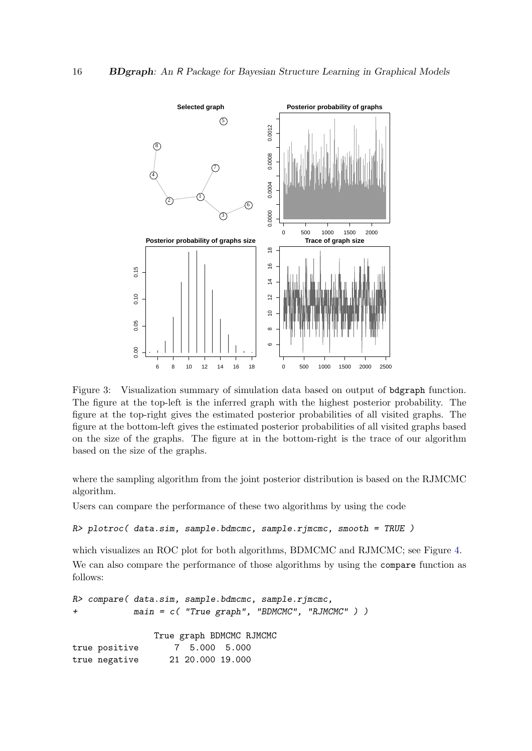

Figure 3: Visualization summary of simulation data based on output of bdgraph function. The figure at the top-left is the inferred graph with the highest posterior probability. The figure at the top-right gives the estimated posterior probabilities of all visited graphs. The figure at the bottom-left gives the estimated posterior probabilities of all visited graphs based on the size of the graphs. The figure at in the bottom-right is the trace of our algorithm based on the size of the graphs.

where the sampling algorithm from the joint posterior distribution is based on the RJMCMC algorithm.

Users can compare the performance of these two algorithms by using the code

```
R> plotroc( data.sim, sample.bdmcmc, sample.rjmcmc, smooth = TRUE )
```
which visualizes an ROC plot for both algorithms, BDMCMC and RJMCMC; see Figure 4. We can also compare the performance of those algorithms by using the compare function as follows:

```
R> compare( data.sim, sample.bdmcmc, sample.rjmcmc,
+ main = c( "True graph", "BDMCMC", "RJMCMC" ) )
              True graph BDMCMC RJMCMC
true positive 7 5.000 5.000
true negative 21 20.000 19.000
```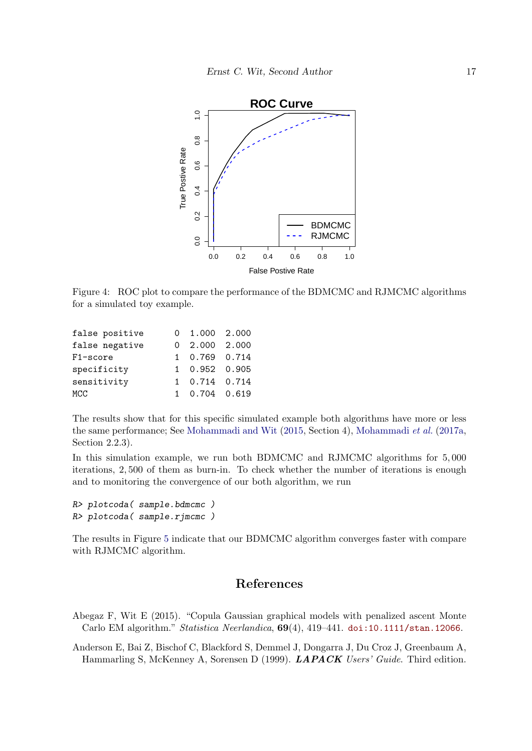

Figure 4: ROC plot to compare the performance of the BDMCMC and RJMCMC algorithms for a simulated toy example.

| false positive | $0 \quad 1.000 \quad 2.000$ |  |
|----------------|-----------------------------|--|
| false negative | $0$ 2.000 2.000             |  |
| F1-score       | 1 0.769 0.714               |  |
| specificity    | 1 0.952 0.905               |  |
| sensitivity    | 1 0.714 0.714               |  |
| MCC            | 1 0.704 0.619               |  |

The results show that for this specific simulated example both algorithms have more or less the same performance; See Mohammadi and Wit (2015, Section 4), Mohammadi et al. (2017a, Section 2.2.3).

In this simulation example, we run both BDMCMC and RJMCMC algorithms for 5, 000 iterations, 2, 500 of them as burn-in. To check whether the number of iterations is enough and to monitoring the convergence of our both algorithm, we run

```
R> plotcoda( sample.bdmcmc )
R> plotcoda( sample.rjmcmc )
```
The results in Figure 5 indicate that our BDMCMC algorithm converges faster with compare with RJMCMC algorithm.

# References

Abegaz F, Wit E (2015). "Copula Gaussian graphical models with penalized ascent Monte Carlo EM algorithm." Statistica Neerlandica,  $69(4)$ ,  $419-441$ . doi:10.1111/stan.12066.

Anderson E, Bai Z, Bischof C, Blackford S, Demmel J, Dongarra J, Du Croz J, Greenbaum A, Hammarling S, McKenney A, Sorensen D (1999). LAPACK Users' Guide. Third edition.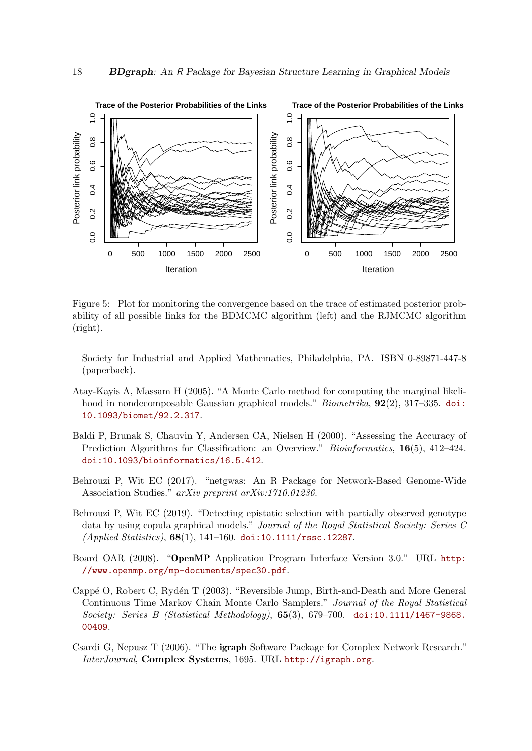

Figure 5: Plot for monitoring the convergence based on the trace of estimated posterior probability of all possible links for the BDMCMC algorithm (left) and the RJMCMC algorithm (right).

Society for Industrial and Applied Mathematics, Philadelphia, PA. ISBN 0-89871-447-8 (paperback).

- Atay-Kayis A, Massam H (2005). "A Monte Carlo method for computing the marginal likelihood in nondecomposable Gaussian graphical models." *Biometrika*, **92**(2), 317–335. doi: 10.1093/biomet/92.2.317.
- Baldi P, Brunak S, Chauvin Y, Andersen CA, Nielsen H (2000). "Assessing the Accuracy of Prediction Algorithms for Classification: an Overview." *Bioinformatics*, 16(5), 412–424. doi:10.1093/bioinformatics/16.5.412.
- Behrouzi P, Wit EC (2017). "netgwas: An R Package for Network-Based Genome-Wide Association Studies." arXiv preprint arXiv:1710.01236.
- Behrouzi P, Wit EC (2019). "Detecting epistatic selection with partially observed genotype data by using copula graphical models." Journal of the Royal Statistical Society: Series C (Applied Statistics),  $68(1)$ , 141-160. doi:10.1111/rssc.12287.
- Board OAR (2008). "OpenMP Application Program Interface Version 3.0." URL http: //www.openmp.org/mp-documents/spec30.pdf.
- Cappé O, Robert C, Rydén T (2003). "Reversible Jump, Birth-and-Death and More General Continuous Time Markov Chain Monte Carlo Samplers." Journal of the Royal Statistical Society: Series B (Statistical Methodology), 65(3), 679–700. doi:10.1111/1467-9868. 00409.
- Csardi G, Nepusz T (2006). "The igraph Software Package for Complex Network Research." InterJournal, Complex Systems, 1695. URL http://igraph.org.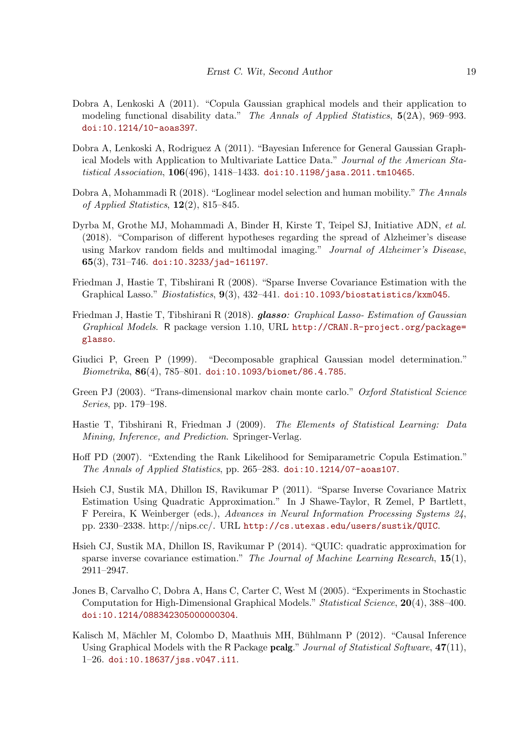- Dobra A, Lenkoski A (2011). "Copula Gaussian graphical models and their application to modeling functional disability data." The Annals of Applied Statistics,  $5(2A)$ , 969–993. doi:10.1214/10-aoas397.
- Dobra A, Lenkoski A, Rodriguez A (2011). "Bayesian Inference for General Gaussian Graphical Models with Application to Multivariate Lattice Data." Journal of the American Statistical Association, 106(496), 1418-1433. doi:10.1198/jasa.2011.tm10465.
- Dobra A, Mohammadi R (2018). "Loglinear model selection and human mobility." The Annals of Applied Statistics,  $12(2)$ , 815–845.
- Dyrba M, Grothe MJ, Mohammadi A, Binder H, Kirste T, Teipel SJ, Initiative ADN, et al. (2018). "Comparison of different hypotheses regarding the spread of Alzheimer's disease using Markov random fields and multimodal imaging." Journal of Alzheimer's Disease, 65(3), 731–746. doi:10.3233/jad-161197.
- Friedman J, Hastie T, Tibshirani R (2008). "Sparse Inverse Covariance Estimation with the Graphical Lasso." Biostatistics, 9(3), 432–441. doi:10.1093/biostatistics/kxm045.
- Friedman J, Hastie T, Tibshirani R (2018). **glasso**: Graphical Lasso- Estimation of Gaussian Graphical Models. R package version 1.10, URL http://CRAN.R-project.org/package= glasso.
- Giudici P, Green P (1999). "Decomposable graphical Gaussian model determination." Biometrika, 86(4), 785–801. doi:10.1093/biomet/86.4.785.
- Green PJ (2003). "Trans-dimensional markov chain monte carlo." Oxford Statistical Science Series, pp. 179–198.
- Hastie T, Tibshirani R, Friedman J (2009). The Elements of Statistical Learning: Data Mining, Inference, and Prediction. Springer-Verlag.
- Hoff PD (2007). "Extending the Rank Likelihood for Semiparametric Copula Estimation." The Annals of Applied Statistics, pp. 265–283. doi:10.1214/07-aoas107.
- Hsieh CJ, Sustik MA, Dhillon IS, Ravikumar P (2011). "Sparse Inverse Covariance Matrix Estimation Using Quadratic Approximation." In J Shawe-Taylor, R Zemel, P Bartlett, F Pereira, K Weinberger (eds.), Advances in Neural Information Processing Systems 24, pp. 2330–2338. http://nips.cc/. URL http://cs.utexas.edu/users/sustik/QUIC.
- Hsieh CJ, Sustik MA, Dhillon IS, Ravikumar P (2014). "QUIC: quadratic approximation for sparse inverse covariance estimation." The Journal of Machine Learning Research,  $15(1)$ , 2911–2947.
- Jones B, Carvalho C, Dobra A, Hans C, Carter C, West M (2005). "Experiments in Stochastic Computation for High-Dimensional Graphical Models." Statistical Science, 20(4), 388–400. doi:10.1214/088342305000000304.
- Kalisch M, Mächler M, Colombo D, Maathuis MH, Bühlmann P (2012). "Causal Inference Using Graphical Models with the R Package pcalg." Journal of Statistical Software, 47(11), 1–26. doi:10.18637/jss.v047.i11.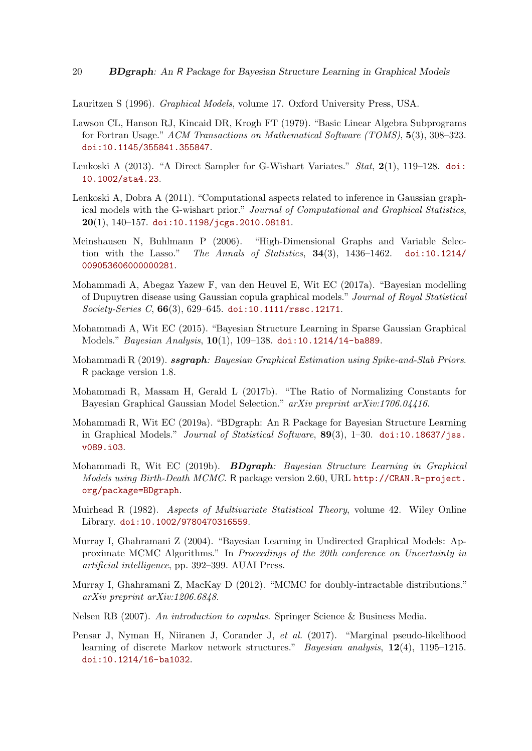Lauritzen S (1996). Graphical Models, volume 17. Oxford University Press, USA.

- Lawson CL, Hanson RJ, Kincaid DR, Krogh FT (1979). "Basic Linear Algebra Subprograms for Fortran Usage." ACM Transactions on Mathematical Software (TOMS), 5(3), 308–323. doi:10.1145/355841.355847.
- Lenkoski A (2013). "A Direct Sampler for G-Wishart Variates."  $Stat$ ,  $2(1)$ , 119–128. doi: 10.1002/sta4.23.
- Lenkoski A, Dobra A (2011). "Computational aspects related to inference in Gaussian graphical models with the G-wishart prior." Journal of Computational and Graphical Statistics,  $20(1)$ , 140-157. doi:10.1198/jcgs.2010.08181.
- Meinshausen N, Buhlmann P (2006). "High-Dimensional Graphs and Variable Selection with the Lasso." The Annals of Statistics,  $34(3)$ ,  $1436-1462$ . doi:10.1214/ 009053606000000281.
- Mohammadi A, Abegaz Yazew F, van den Heuvel E, Wit EC (2017a). "Bayesian modelling of Dupuytren disease using Gaussian copula graphical models." Journal of Royal Statistical Society-Series C, 66(3), 629–645. doi:10.1111/rssc.12171.
- Mohammadi A, Wit EC (2015). "Bayesian Structure Learning in Sparse Gaussian Graphical Models." Bayesian Analysis, 10(1), 109–138. doi:10.1214/14-ba889.
- Mohammadi R  $(2019)$ . ssgraph: Bayesian Graphical Estimation using Spike-and-Slab Priors. R package version 1.8.
- Mohammadi R, Massam H, Gerald L (2017b). "The Ratio of Normalizing Constants for Bayesian Graphical Gaussian Model Selection." arXiv preprint arXiv:1706.04416.
- Mohammadi R, Wit EC (2019a). "BDgraph: An R Package for Bayesian Structure Learning in Graphical Models." Journal of Statistical Software,  $89(3)$ , 1–30. doi:10.18637/jss. v089.i03.
- Mohammadi R, Wit EC (2019b). BDgraph: Bayesian Structure Learning in Graphical Models using Birth-Death MCMC. R package version 2.60, URL http://CRAN.R-project. org/package=BDgraph.
- Muirhead R (1982). Aspects of Multivariate Statistical Theory, volume 42. Wiley Online Library. doi:10.1002/9780470316559.
- Murray I, Ghahramani Z (2004). "Bayesian Learning in Undirected Graphical Models: Approximate MCMC Algorithms." In Proceedings of the 20th conference on Uncertainty in artificial intelligence, pp. 392–399. AUAI Press.
- Murray I, Ghahramani Z, MacKay D (2012). "MCMC for doubly-intractable distributions." arXiv preprint arXiv:1206.6848.
- Nelsen RB (2007). An introduction to copulas. Springer Science & Business Media.
- Pensar J, Nyman H, Niiranen J, Corander J, et al. (2017). "Marginal pseudo-likelihood learning of discrete Markov network structures." Bayesian analysis, 12(4), 1195–1215. doi:10.1214/16-ba1032.